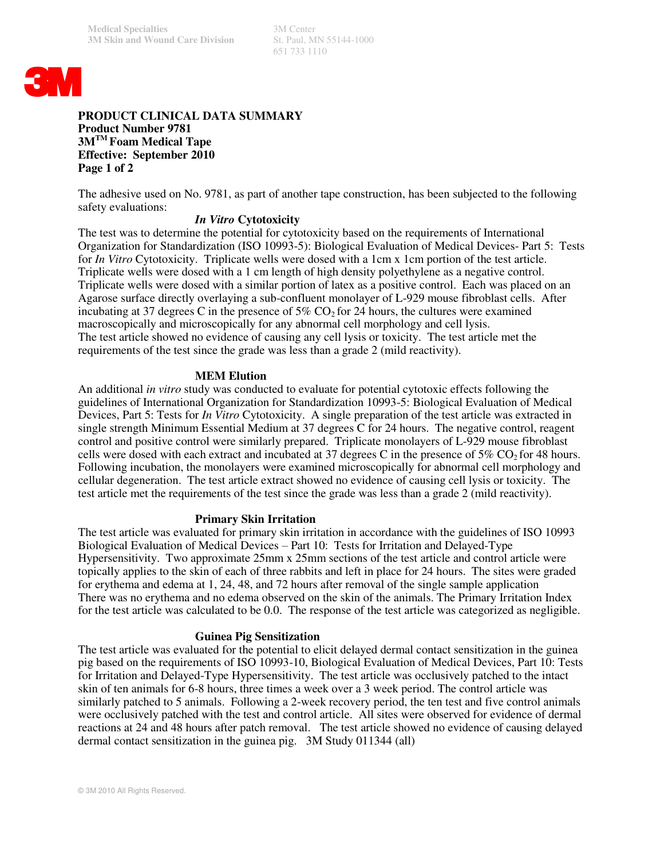651 733 1110



# **PRODUCT CLINICAL DATA SUMMARY Product Number 9781 3MTM Foam Medical Tape Effective: September 2010 Page 1 of 2**

The adhesive used on No. 9781, as part of another tape construction, has been subjected to the following safety evaluations:

## *In Vitro* **Cytotoxicity**

The test was to determine the potential for cytotoxicity based on the requirements of International Organization for Standardization (ISO 10993-5): Biological Evaluation of Medical Devices- Part 5: Tests for *In Vitro* Cytotoxicity. Triplicate wells were dosed with a 1cm x 1cm portion of the test article. Triplicate wells were dosed with a 1 cm length of high density polyethylene as a negative control. Triplicate wells were dosed with a similar portion of latex as a positive control. Each was placed on an Agarose surface directly overlaying a sub-confluent monolayer of L-929 mouse fibroblast cells. After incubating at 37 degrees C in the presence of  $5\%$  CO<sub>2</sub> for 24 hours, the cultures were examined macroscopically and microscopically for any abnormal cell morphology and cell lysis. The test article showed no evidence of causing any cell lysis or toxicity. The test article met the requirements of the test since the grade was less than a grade 2 (mild reactivity).

# **MEM Elution**

An additional *in vitro* study was conducted to evaluate for potential cytotoxic effects following the guidelines of International Organization for Standardization 10993-5: Biological Evaluation of Medical Devices, Part 5: Tests for *In Vitro* Cytotoxicity. A single preparation of the test article was extracted in single strength Minimum Essential Medium at 37 degrees C for 24 hours. The negative control, reagent control and positive control were similarly prepared. Triplicate monolayers of L-929 mouse fibroblast cells were dosed with each extract and incubated at 37 degrees C in the presence of  $5\%$  CO<sub>2</sub> for 48 hours. Following incubation, the monolayers were examined microscopically for abnormal cell morphology and cellular degeneration. The test article extract showed no evidence of causing cell lysis or toxicity. The test article met the requirements of the test since the grade was less than a grade 2 (mild reactivity).

## **Primary Skin Irritation**

The test article was evaluated for primary skin irritation in accordance with the guidelines of ISO 10993 Biological Evaluation of Medical Devices – Part 10: Tests for Irritation and Delayed-Type Hypersensitivity. Two approximate 25mm x 25mm sections of the test article and control article were topically applies to the skin of each of three rabbits and left in place for 24 hours. The sites were graded for erythema and edema at 1, 24, 48, and 72 hours after removal of the single sample application There was no erythema and no edema observed on the skin of the animals. The Primary Irritation Index for the test article was calculated to be 0.0. The response of the test article was categorized as negligible.

## **Guinea Pig Sensitization**

The test article was evaluated for the potential to elicit delayed dermal contact sensitization in the guinea pig based on the requirements of ISO 10993-10, Biological Evaluation of Medical Devices, Part 10: Tests for Irritation and Delayed-Type Hypersensitivity. The test article was occlusively patched to the intact skin of ten animals for 6-8 hours, three times a week over a 3 week period. The control article was similarly patched to 5 animals. Following a 2-week recovery period, the ten test and five control animals were occlusively patched with the test and control article. All sites were observed for evidence of dermal reactions at 24 and 48 hours after patch removal. The test article showed no evidence of causing delayed dermal contact sensitization in the guinea pig. 3M Study 011344 (all)